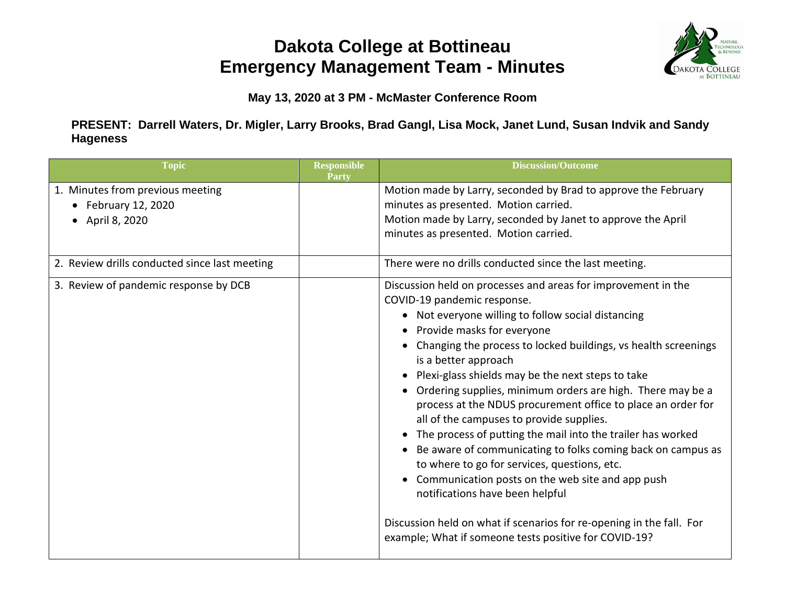## **Dakota College at Bottineau Emergency Management Team - Minutes**



**May 13, 2020 at 3 PM - McMaster Conference Room**

**PRESENT: Darrell Waters, Dr. Migler, Larry Brooks, Brad Gangl, Lisa Mock, Janet Lund, Susan Indvik and Sandy Hageness**

| <b>Topic</b>                                                                       | <b>Responsible</b><br>Party | <b>Discussion/Outcome</b>                                                                                                                                                                                                                                                                                                                                                                                                                                                                                                                                                                                                                                                                                                                                                                                                                                                                                                     |
|------------------------------------------------------------------------------------|-----------------------------|-------------------------------------------------------------------------------------------------------------------------------------------------------------------------------------------------------------------------------------------------------------------------------------------------------------------------------------------------------------------------------------------------------------------------------------------------------------------------------------------------------------------------------------------------------------------------------------------------------------------------------------------------------------------------------------------------------------------------------------------------------------------------------------------------------------------------------------------------------------------------------------------------------------------------------|
| 1. Minutes from previous meeting<br>$\bullet$ February 12, 2020<br>• April 8, 2020 |                             | Motion made by Larry, seconded by Brad to approve the February<br>minutes as presented. Motion carried.<br>Motion made by Larry, seconded by Janet to approve the April<br>minutes as presented. Motion carried.                                                                                                                                                                                                                                                                                                                                                                                                                                                                                                                                                                                                                                                                                                              |
| 2. Review drills conducted since last meeting                                      |                             | There were no drills conducted since the last meeting.                                                                                                                                                                                                                                                                                                                                                                                                                                                                                                                                                                                                                                                                                                                                                                                                                                                                        |
| 3. Review of pandemic response by DCB                                              |                             | Discussion held on processes and areas for improvement in the<br>COVID-19 pandemic response.<br>• Not everyone willing to follow social distancing<br>• Provide masks for everyone<br>• Changing the process to locked buildings, vs health screenings<br>is a better approach<br>• Plexi-glass shields may be the next steps to take<br>• Ordering supplies, minimum orders are high. There may be a<br>process at the NDUS procurement office to place an order for<br>all of the campuses to provide supplies.<br>• The process of putting the mail into the trailer has worked<br>• Be aware of communicating to folks coming back on campus as<br>to where to go for services, questions, etc.<br>• Communication posts on the web site and app push<br>notifications have been helpful<br>Discussion held on what if scenarios for re-opening in the fall. For<br>example; What if someone tests positive for COVID-19? |